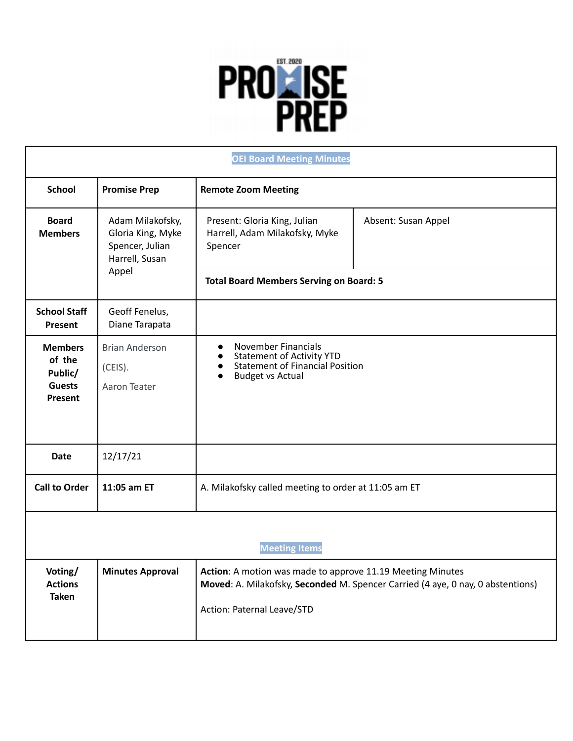

| <b>OEI Board Meeting Minutes</b>                                |                                                                                     |                                                                                                                                                                            |                                                                                 |  |
|-----------------------------------------------------------------|-------------------------------------------------------------------------------------|----------------------------------------------------------------------------------------------------------------------------------------------------------------------------|---------------------------------------------------------------------------------|--|
| <b>School</b>                                                   | <b>Promise Prep</b>                                                                 | <b>Remote Zoom Meeting</b>                                                                                                                                                 |                                                                                 |  |
| <b>Board</b><br><b>Members</b>                                  | Adam Milakofsky,<br>Gloria King, Myke<br>Spencer, Julian<br>Harrell, Susan<br>Appel | Present: Gloria King, Julian<br>Harrell, Adam Milakofsky, Myke<br>Spencer                                                                                                  | Absent: Susan Appel                                                             |  |
|                                                                 |                                                                                     | <b>Total Board Members Serving on Board: 5</b>                                                                                                                             |                                                                                 |  |
| <b>School Staff</b><br><b>Present</b>                           | Geoff Fenelus,<br>Diane Tarapata                                                    |                                                                                                                                                                            |                                                                                 |  |
| <b>Members</b><br>of the<br>Public/<br><b>Guests</b><br>Present | <b>Brian Anderson</b><br>(CEIS).<br>Aaron Teater                                    | <b>November Financials</b><br>$\bullet$<br><b>Statement of Activity YTD</b><br>$\bullet$<br><b>Statement of Financial Position</b><br>$\bullet$<br><b>Budget vs Actual</b> |                                                                                 |  |
| <b>Date</b>                                                     | 12/17/21                                                                            |                                                                                                                                                                            |                                                                                 |  |
| <b>Call to Order</b>                                            | 11:05 am ET                                                                         | A. Milakofsky called meeting to order at 11:05 am ET                                                                                                                       |                                                                                 |  |
| <b>Meeting Items</b>                                            |                                                                                     |                                                                                                                                                                            |                                                                                 |  |
| Voting/<br><b>Actions</b><br><b>Taken</b>                       | <b>Minutes Approval</b>                                                             | Action: A motion was made to approve 11.19 Meeting Minutes<br>Action: Paternal Leave/STD                                                                                   | Moved: A. Milakofsky, Seconded M. Spencer Carried (4 aye, 0 nay, 0 abstentions) |  |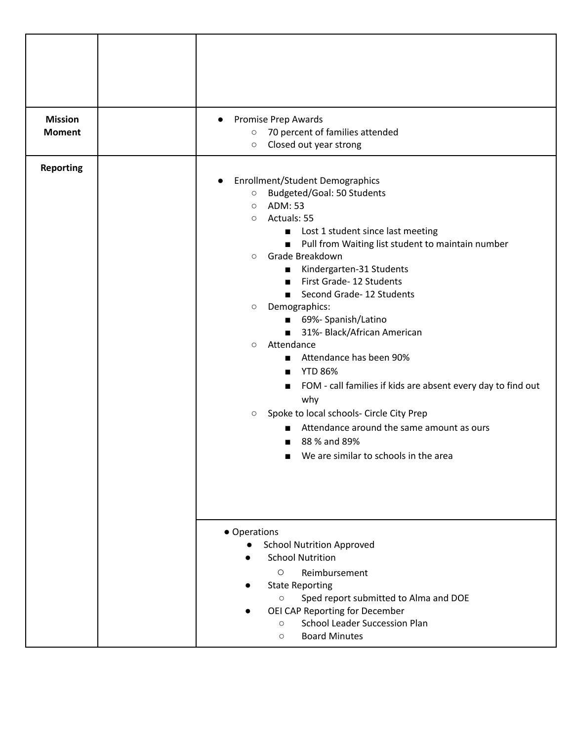| <b>Mission</b>   | <b>Promise Prep Awards</b><br>$\bullet$                                           |  |
|------------------|-----------------------------------------------------------------------------------|--|
| <b>Moment</b>    | 70 percent of families attended<br>$\circ$                                        |  |
|                  | Closed out year strong<br>$\circ$                                                 |  |
|                  |                                                                                   |  |
| <b>Reporting</b> |                                                                                   |  |
|                  | <b>Enrollment/Student Demographics</b><br>$\bullet$<br>Budgeted/Goal: 50 Students |  |
|                  | $\bigcirc$<br>ADM: 53<br>$\circ$                                                  |  |
|                  | Actuals: 55<br>$\circ$                                                            |  |
|                  | Lost 1 student since last meeting<br>п                                            |  |
|                  | Pull from Waiting list student to maintain number<br>$\blacksquare$               |  |
|                  | Grade Breakdown<br>$\circ$                                                        |  |
|                  | Kindergarten-31 Students<br>п                                                     |  |
|                  | First Grade- 12 Students                                                          |  |
|                  | Second Grade- 12 Students<br>$\blacksquare$                                       |  |
|                  | Demographics:<br>$\bigcirc$                                                       |  |
|                  | 69%- Spanish/Latino<br>$\blacksquare$                                             |  |
|                  | 31%- Black/African American                                                       |  |
|                  | Attendance<br>$\circ$                                                             |  |
|                  | Attendance has been 90%                                                           |  |
|                  | <b>YTD 86%</b>                                                                    |  |
|                  | FOM - call families if kids are absent every day to find out                      |  |
|                  | why                                                                               |  |
|                  | Spoke to local schools- Circle City Prep<br>$\circ$                               |  |
|                  | Attendance around the same amount as ours<br>▬                                    |  |
|                  | 88 % and 89%                                                                      |  |
|                  | We are similar to schools in the area                                             |  |
|                  |                                                                                   |  |
|                  |                                                                                   |  |
|                  |                                                                                   |  |
|                  |                                                                                   |  |
|                  |                                                                                   |  |
|                  | • Operations                                                                      |  |
|                  | <b>School Nutrition Approved</b>                                                  |  |
|                  | <b>School Nutrition</b>                                                           |  |
|                  | $\circ$<br>Reimbursement                                                          |  |
|                  | <b>State Reporting</b>                                                            |  |
|                  | Sped report submitted to Alma and DOE<br>$\circlearrowright$                      |  |
|                  | OEI CAP Reporting for December                                                    |  |
|                  | <b>School Leader Succession Plan</b><br>$\circ$                                   |  |
|                  | <b>Board Minutes</b><br>$\circlearrowright$                                       |  |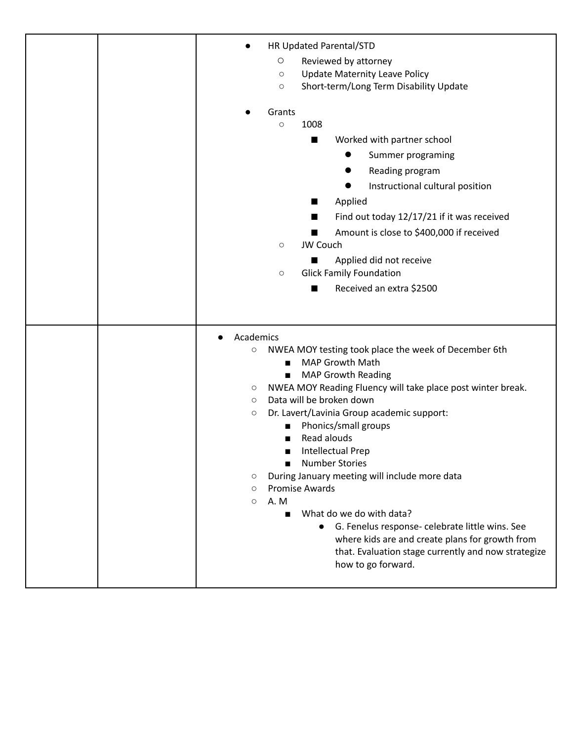|  | HR Updated Parental/STD                                                                                 |
|--|---------------------------------------------------------------------------------------------------------|
|  | $\bigcirc$<br>Reviewed by attorney                                                                      |
|  | <b>Update Maternity Leave Policy</b><br>$\circ$                                                         |
|  | Short-term/Long Term Disability Update<br>$\circ$                                                       |
|  |                                                                                                         |
|  | Grants                                                                                                  |
|  | 1008<br>$\circ$                                                                                         |
|  | Worked with partner school<br>ш                                                                         |
|  | Summer programing                                                                                       |
|  | Reading program                                                                                         |
|  | Instructional cultural position                                                                         |
|  | Applied<br>ш                                                                                            |
|  | Find out today 12/17/21 if it was received<br>ш                                                         |
|  |                                                                                                         |
|  | Amount is close to \$400,000 if received<br>JW Couch<br>$\circ$                                         |
|  |                                                                                                         |
|  | Applied did not receive                                                                                 |
|  | <b>Glick Family Foundation</b><br>$\circ$                                                               |
|  | Received an extra \$2500<br>ш                                                                           |
|  |                                                                                                         |
|  |                                                                                                         |
|  | Academics                                                                                               |
|  | NWEA MOY testing took place the week of December 6th<br>O                                               |
|  | MAP Growth Math<br>▬                                                                                    |
|  | <b>MAP Growth Reading</b><br>п                                                                          |
|  | NWEA MOY Reading Fluency will take place post winter break.<br>О<br>Data will be broken down<br>$\circ$ |
|  | Dr. Lavert/Lavinia Group academic support:<br>$\circ$                                                   |
|  | Phonics/small groups                                                                                    |
|  | Read alouds                                                                                             |
|  | <b>Intellectual Prep</b>                                                                                |
|  | <b>Number Stories</b>                                                                                   |
|  | During January meeting will include more data<br>О                                                      |
|  | <b>Promise Awards</b><br>$\circlearrowright$                                                            |
|  | A.M<br>$\circ$                                                                                          |
|  | What do we do with data?                                                                                |
|  | G. Fenelus response- celebrate little wins. See<br>$\bullet$                                            |
|  | where kids are and create plans for growth from                                                         |
|  |                                                                                                         |
|  | that. Evaluation stage currently and now strategize                                                     |
|  | how to go forward.                                                                                      |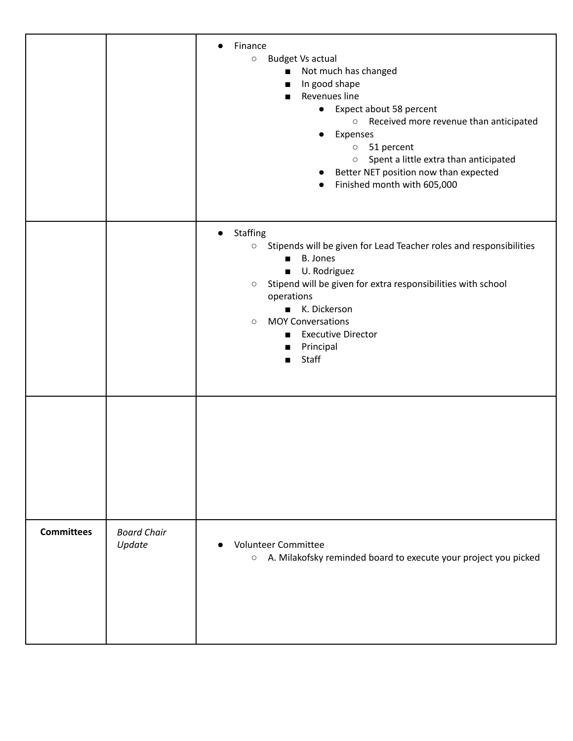|                   |                              | Finance<br>$\bullet$<br><b>Budget Vs actual</b><br>$\circ$<br>Not much has changed<br>п<br>In good shape<br>п<br>Revenues line<br>Expect about 58 percent<br>$\bullet$<br>$\circ$ Received more revenue than anticipated<br>Expenses<br>$\bullet$<br>51 percent<br>$\circ$<br>Spent a little extra than anticipated<br>$\circ$<br>Better NET position now than expected<br>$\bullet$<br>Finished month with 605,000<br>$\bullet$ |
|-------------------|------------------------------|----------------------------------------------------------------------------------------------------------------------------------------------------------------------------------------------------------------------------------------------------------------------------------------------------------------------------------------------------------------------------------------------------------------------------------|
|                   |                              | Staffing<br>$\bullet$<br>Stipends will be given for Lead Teacher roles and responsibilities<br>$\circ$<br><b>B.</b> Jones<br>U. Rodriguez<br>$\blacksquare$<br>Stipend will be given for extra responsibilities with school<br>$\circ$<br>operations<br>K. Dickerson<br><b>MOY Conversations</b><br>$\circ$<br><b>Executive Director</b><br>Principal<br>$\blacksquare$<br>Staff                                                 |
|                   |                              |                                                                                                                                                                                                                                                                                                                                                                                                                                  |
| <b>Committees</b> | <b>Board Chair</b><br>Update | <b>Volunteer Committee</b><br>$\bullet$<br>A. Milakofsky reminded board to execute your project you picked<br>$\circ$                                                                                                                                                                                                                                                                                                            |